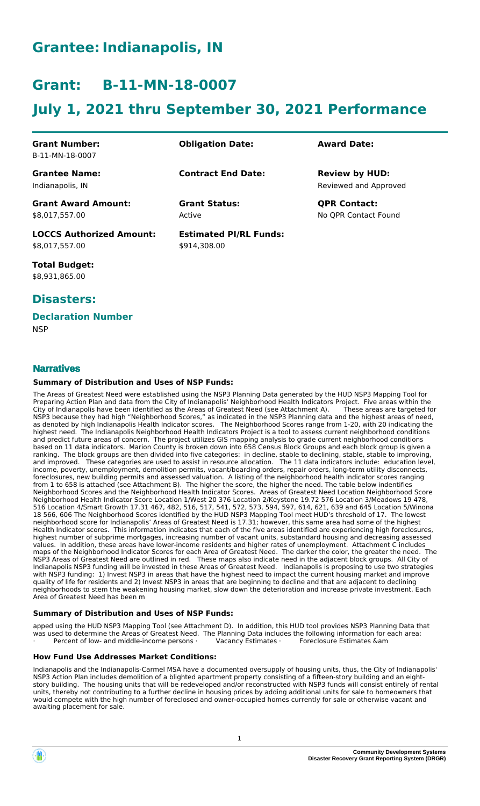# **Grantee:Indianapolis, IN**

# **Grant: B-11-MN-18-0007**

# **July 1, 2021 thru September 30, 2021 Performance**

| <b>Grant Number:</b><br>B-11-MN-18-0007  | <b>Obligation Date:</b>       | <b>Award Date:</b>                             |
|------------------------------------------|-------------------------------|------------------------------------------------|
| <b>Grantee Name:</b><br>Indianapolis, IN | <b>Contract End Date:</b>     | <b>Review by HUD:</b><br>Reviewed and Approved |
| <b>Grant Award Amount:</b>               | <b>Grant Status:</b>          | <b>QPR Contact:</b>                            |
| \$8,017,557.00                           | Active                        | No QPR Contact Found                           |
| <b>LOCCS Authorized Amount:</b>          | <b>Estimated PI/RL Funds:</b> |                                                |
| \$8,017,557.00                           | \$914,308.00                  |                                                |

**Total Budget:** \$8,931,865.00

# **Disasters:**

### **Declaration Number**

**NSP** 

## **Narratives**

#### **Summary of Distribution and Uses of NSP Funds:**

The Areas of Greatest Need were established using the NSP3 Planning Data generated by the HUD NSP3 Mapping Tool for Preparing Action Plan and data from the City of Indianapolis' Neighborhood Health Indicators Project. Five areas within the City of Indianapolis have been identified as the Areas of Greatest Need (see Attachment A). These areas are targeted for NSP3 because they had high "Neighborhood Scores," as indicated in the NSP3 Planning data and the highest areas of need, as denoted by high Indianapolis Health Indicator scores. The Neighborhood Scores range from 1-20, with 20 indicating the highest need. The Indianapolis Neighborhood Health Indicators Project is a tool to assess current neighborhood conditions and predict future areas of concern. The project utilizes GIS mapping analysis to grade current neighborhood conditions based on 11 data indicators. Marion County is broken down into 658 Census Block Groups and each block group is given a ranking. The block groups are then divided into five categories: in decline, stable to declining, stable, stable to improving, and improved. These categories are used to assist in resource allocation. The 11 data indicators include: education level, income, poverty, unemployment, demolition permits, vacant/boarding orders, repair orders, long-term utility disconnects, foreclosures, new building permits and assessed valuation. A listing of the neighborhood health indicator scores ranging from 1 to 658 is attached (see Attachment B). The higher the score, the higher the need. The table below indentifies Neighborhood Scores and the Neighborhood Health Indicator Scores. Areas of Greatest Need Location Neighborhood Score Neighborhood Health Indicator Score Location 1/West 20 376 Location 2/Keystone 19.72 576 Location 3/Meadows 19 478, 516 Location 4/Smart Growth 17.31 467, 482, 516, 517, 541, 572, 573, 594, 597, 614, 621, 639 and 645 Location 5/Winona 18 566, 606 The Neighborhood Scores identified by the HUD NSP3 Mapping Tool meet HUD's threshold of 17. The lowest neighborhood score for Indianapolis' Areas of Greatest Need is 17.31; however, this same area had some of the highest Health Indicator scores. This information indicates that each of the five areas identified are experiencing high foreclosures, highest number of subprime mortgages, increasing number of vacant units, substandard housing and decreasing assessed values. In addition, these areas have lower-income residents and higher rates of unemployment. Attachment C includes maps of the Neighborhood Indicator Scores for each Area of Greatest Need. The darker the color, the greater the need. The NSP3 Areas of Greatest Need are outlined in red. These maps also indicate need in the adjacent block groups. All City of Indianapolis NSP3 funding will be invested in these Areas of Greatest Need. Indianapolis is proposing to use two strategies with NSP3 funding: 1) Invest NSP3 in areas that have the highest need to impact the current housing market and improve quality of life for residents and 2) Invest NSP3 in areas that are beginning to decline and that are adjacent to declining neighborhoods to stem the weakening housing market, slow down the deterioration and increase private investment. Each Area of Greatest Need has been m

#### **Summary of Distribution and Uses of NSP Funds:**

apped using the HUD NSP3 Mapping Tool (see Attachment D). In addition, this HUD tool provides NSP3 Planning Data that was used to determine the Areas of Greatest Need. The Planning Data includes the following information for each area: · Percent of low- and middle-income persons · Vacancy Estimates · Foreclosure Estimates &am

#### **How Fund Use Addresses Market Conditions:**

Indianapolis and the Indianapolis-Carmel MSA have a documented oversupply of housing units, thus, the City of Indianapolis' NSP3 Action Plan includes demolition of a blighted apartment property consisting of a fifteen-story building and an eightstory building. The housing units that will be redeveloped and/or reconstructed with NSP3 funds will consist entirely of rental units, thereby not contributing to a further decline in housing prices by adding additional units for sale to homeowners that would compete with the high number of foreclosed and owner-occupied homes currently for sale or otherwise vacant and awaiting placement for sale.

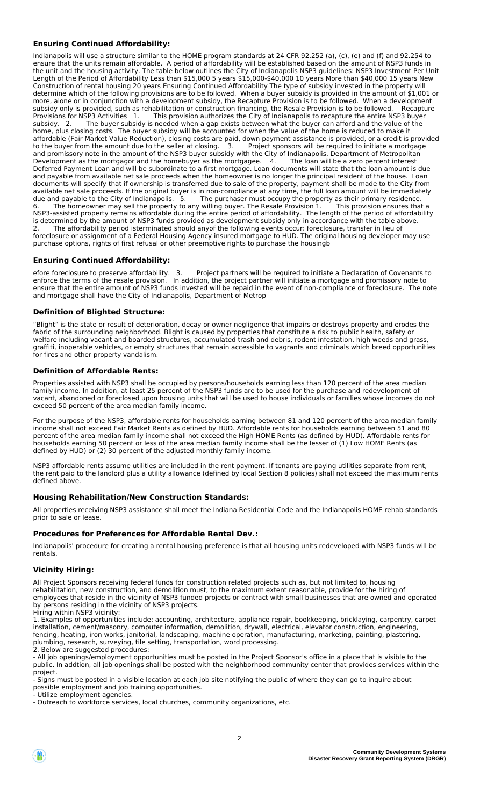#### **Ensuring Continued Affordability:**

Indianapolis will use a structure similar to the HOME program standards at 24 CFR 92.252 (a), (c), (e) and (f) and 92.254 to ensure that the units remain affordable. A period of affordability will be established based on the amount of NSP3 funds in the unit and the housing activity. The table below outlines the City of Indianapolis NSP3 guidelines: NSP3 Investment Per Unit Length of the Period of Affordability Less than \$15,000 5 years \$15,000-\$40,000 10 years More than \$40,000 15 years New Construction of rental housing 20 years Ensuring Continued Affordability The type of subsidy invested in the property will determine which of the following provisions are to be followed. When a buyer subsidy is provided in the amount of \$1,001 or more, alone or in conjunction with a development subsidy, the Recapture Provision is to be followed. When a development subsidy only is provided, such as rehabilitation or construction financing, the Resale Provision is to be followed. Recapture Provisions for NSP3 Activities 1. This provision authorizes the City of Indianapolis to recapture the entire NSP3 buyer subsidy. 2. The buyer subsidy is needed when a gap exists between what the buyer can afford and the value of the home, plus closing costs. The buyer subsidy will be accounted for when the value of the home is reduced to make it affordable (Fair Market Value Reduction), closing costs are paid, down payment assistance is provided, or a credit is provided to the buyer from the amount due to the seller at closing. 3. Project sponsors will be required to initiate a mortgage and promissory note in the amount of the NSP3 buyer subsidy with the City of Indianapolis, Department of Metropolitan Development as the mortgagor and the homebuyer as the mortgagee. 4. The loan will be a zero percent interest Deferred Payment Loan and will be subordinate to a first mortgage. Loan documents will state that the loan amount is due and payable from available net sale proceeds when the homeowner is no longer the principal resident of the house. Loan documents will specify that if ownership is transferred due to sale of the property, payment shall be made to the City from available net sale proceeds. If the original buyer is in non-compliance at any time, the full loan amount will be immediately due and payable to the City of Indianapolis. 5. The purchaser must occupy the property as their primary residence. 6. The homeowner may sell the property to any willing buyer. The Resale Provision 1. This provision ensures that a NSP3-assisted property remains affordable during the entire period of affordability. The length of the period of affordability is determined by the amount of NSP3 funds provided as development subsidy only in accordance with the table above. 2. The affordability period isterminated should anyof the following events occur: foreclosure, transfer in lieu of foreclosure or assignment of a Federal Housing Agency insured mortgage to HUD. The original housing developer may use purchase options, rights of first refusal or other preemptive rights to purchase the housingb

### **Ensuring Continued Affordability:**

efore foreclosure to preserve affordability. 3. Project partners will be required to initiate a Declaration of Covenants to enforce the terms of the resale provision. In addition, the project partner will initiate a mortgage and promissory note to ensure that the entire amount of NSP3 funds invested will be repaid in the event of non-compliance or foreclosure. The note and mortgage shall have the City of Indianapolis, Department of Metrop

#### **Definition of Blighted Structure:**

"Blight" is the state or result of deterioration, decay or owner negligence that impairs or destroys property and erodes the fabric of the surrounding neighborhood. Blight is caused by properties that constitute a risk to public health, safety or welfare including vacant and boarded structures, accumulated trash and debris, rodent infestation, high weeds and grass, graffiti, inoperable vehicles, or empty structures that remain accessible to vagrants and criminals which breed opportunities for fires and other property vandalism.

#### **Definition of Affordable Rents:**

Properties assisted with NSP3 shall be occupied by persons/households earning less than 120 percent of the area median family income. In addition, at least 25 percent of the NSP3 funds are to be used for the purchase and redevelopment of vacant, abandoned or foreclosed upon housing units that will be used to house individuals or families whose incomes do not exceed 50 percent of the area median family income.

For the purpose of the NSP3, affordable rents for households earning between 81 and 120 percent of the area median family income shall not exceed Fair Market Rents as defined by HUD. Affordable rents for households earning between 51 and 80 percent of the area median family income shall not exceed the High HOME Rents (as defined by HUD). Affordable rents for households earning 50 percent or less of the area median family income shall be the lesser of (1) Low HOME Rents (as defined by HUD) or (2) 30 percent of the adjusted monthly family income.

NSP3 affordable rents assume utilities are included in the rent payment. If tenants are paying utilities separate from rent, the rent paid to the landlord plus a utility allowance (defined by local Section 8 policies) shall not exceed the maximum rents defined above.

#### **Housing Rehabilitation/New Construction Standards:**

All properties receiving NSP3 assistance shall meet the Indiana Residential Code and the Indianapolis HOME rehab standards prior to sale or lease.

#### **Procedures for Preferences for Affordable Rental Dev.:**

Indianapolis' procedure for creating a rental housing preference is that all housing units redeveloped with NSP3 funds will be rentals.

#### **Vicinity Hiring:**

All Project Sponsors receiving federal funds for construction related projects such as, but not limited to, housing rehabilitation, new construction, and demolition must, to the maximum extent reasonable, provide for the hiring of employees that reside in the vicinity of NSP3 funded projects or contract with small businesses that are owned and operated by persons residing in the vicinity of NSP3 projects. Hiring within NSP3 vicinity:

1. Examples of opportunities include: accounting, architecture, appliance repair, bookkeeping, bricklaying, carpentry, carpet installation, cement/masonry, computer information, demolition, drywall, electrical, elevator construction, engineering, fencing, heating, iron works, janitorial, landscaping, machine operation, manufacturing, marketing, painting, plastering, plumbing, research, surveying, tile setting, transportation, word processing. 2. Below are suggested procedures:

- All job openings/employment opportunities must be posted in the Project Sponsor's office in a place that is visible to the public. In addtion, all job openings shall be posted with the neighborhood community center that provides services within the project.

- Signs must be posted in a visible location at each job site notifying the public of where they can go to inquire about possible employment and job training opportunities.

- Utilize employment agencies.

- Outreach to workforce services, local churches, community organizations, etc.

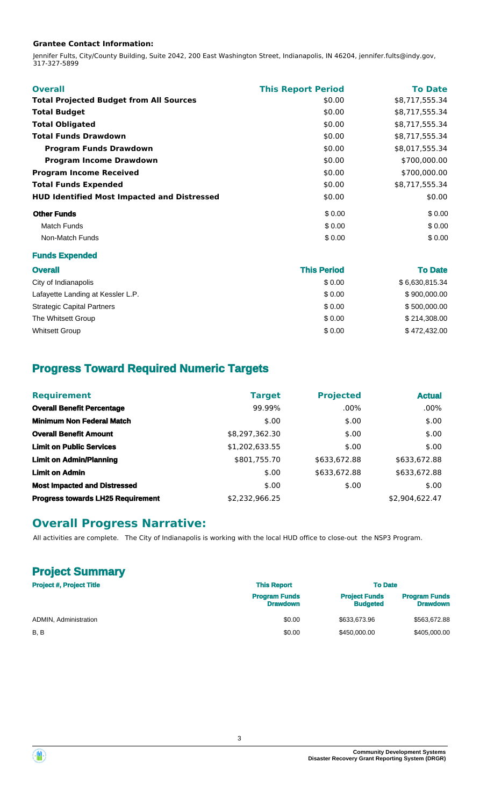#### **Grantee Contact Information:**

Jennifer Fults, City/County Building, Suite 2042, 200 East Washington Street, Indianapolis, IN 46204, jennifer.fults@indy.gov, 317-327-5899

| <b>Overall</b>                                     | <b>This Report Period</b> | <b>To Date</b> |
|----------------------------------------------------|---------------------------|----------------|
| <b>Total Projected Budget from All Sources</b>     | \$0.00                    | \$8,717,555.34 |
| <b>Total Budget</b>                                | \$0.00                    | \$8,717,555.34 |
| <b>Total Obligated</b>                             | \$0.00                    | \$8,717,555.34 |
| <b>Total Funds Drawdown</b>                        | \$0.00                    | \$8,717,555.34 |
| <b>Program Funds Drawdown</b>                      | \$0.00                    | \$8,017,555.34 |
| <b>Program Income Drawdown</b>                     | \$0.00                    | \$700,000.00   |
| <b>Program Income Received</b>                     | \$0.00                    | \$700,000.00   |
| <b>Total Funds Expended</b>                        | \$0.00                    | \$8,717,555.34 |
| <b>HUD Identified Most Impacted and Distressed</b> | \$0.00                    | \$0.00         |
| <b>Other Funds</b>                                 | \$0.00                    | \$0.00         |
| <b>Match Funds</b>                                 | \$0.00                    | \$0.00         |
| Non-Match Funds                                    | \$0.00                    | \$0.00         |

#### **Funds Expended**

| <b>Overall</b>                    | <b>This Period</b> | <b>To Date</b> |
|-----------------------------------|--------------------|----------------|
| City of Indianapolis              | \$0.00             | \$6,630,815.34 |
| Lafayette Landing at Kessler L.P. | \$0.00             | \$900,000.00   |
| <b>Strategic Capital Partners</b> | \$0.00             | \$500,000.00   |
| The Whitsett Group                | \$0.00             | \$214,308.00   |
| <b>Whitsett Group</b>             | \$0.00             | \$472,432.00   |

# **Progress Toward Required Numeric Targets**

| <b>Requirement</b>                       | <b>Target</b>  | <b>Projected</b> | <b>Actual</b>  |
|------------------------------------------|----------------|------------------|----------------|
| <b>Overall Benefit Percentage</b>        | 99.99%         | $.00\%$          | $.00\%$        |
| <b>Minimum Non Federal Match</b>         | \$.00          | \$.00            | \$.00          |
| <b>Overall Benefit Amount</b>            | \$8,297,362.30 | \$.00            | \$.00          |
| <b>Limit on Public Services</b>          | \$1,202,633.55 | \$.00            | \$.00          |
| <b>Limit on Admin/Planning</b>           | \$801,755.70   | \$633,672.88     | \$633,672.88   |
| <b>Limit on Admin</b>                    | \$.00          | \$633,672.88     | \$633,672.88   |
| <b>Most Impacted and Distressed</b>      | \$.00          | \$.00            | \$.00          |
| <b>Progress towards LH25 Requirement</b> | \$2,232,966.25 |                  | \$2,904,622.47 |

## **Overall Progress Narrative:**

All activities are complete. The City of Indianapolis is working with the local HUD office to close-out the NSP3 Program.

# **Project Summary**

| <b>Project #, Project Title</b> | <b>This Report</b>                      | <b>To Date</b>                          |                                         |
|---------------------------------|-----------------------------------------|-----------------------------------------|-----------------------------------------|
|                                 | <b>Program Funds</b><br><b>Drawdown</b> | <b>Project Funds</b><br><b>Budgeted</b> | <b>Program Funds</b><br><b>Drawdown</b> |
| ADMIN, Administration           | \$0.00                                  | \$633,673.96                            | \$563,672.88                            |
| B, B                            | \$0.00                                  | \$450,000.00                            | \$405,000.00                            |

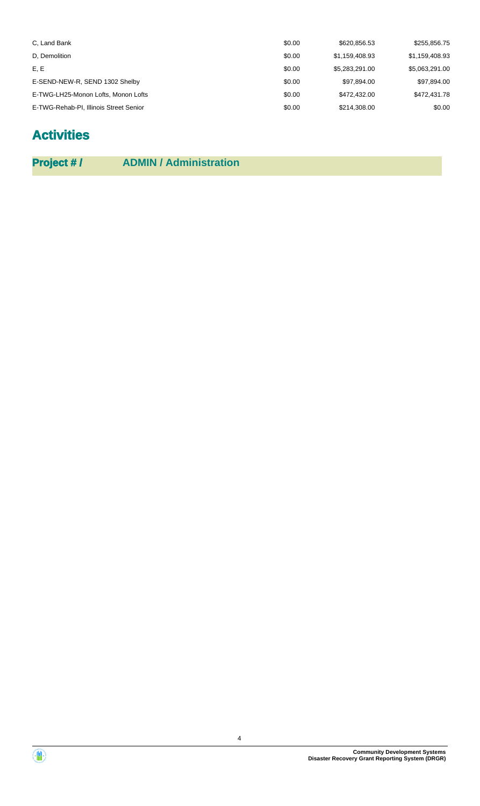| C, Land Bank                           | \$0.00 | \$620,856.53   | \$255.856.75   |
|----------------------------------------|--------|----------------|----------------|
| D. Demolition                          | \$0.00 | \$1.159.408.93 | \$1,159,408.93 |
| E, E                                   | \$0.00 | \$5.283.291.00 | \$5,063,291.00 |
| E-SEND-NEW-R, SEND 1302 Shelby         | \$0.00 | \$97,894.00    | \$97,894.00    |
| E-TWG-LH25-Monon Lofts, Monon Lofts    | \$0.00 | \$472,432,00   | \$472,431.78   |
| E-TWG-Rehab-PI, Illinois Street Senior | \$0.00 | \$214,308.00   | \$0.00         |

# **Activities**

| <b>Project #/</b> | <b>ADMIN / Administration</b> |
|-------------------|-------------------------------|
|-------------------|-------------------------------|

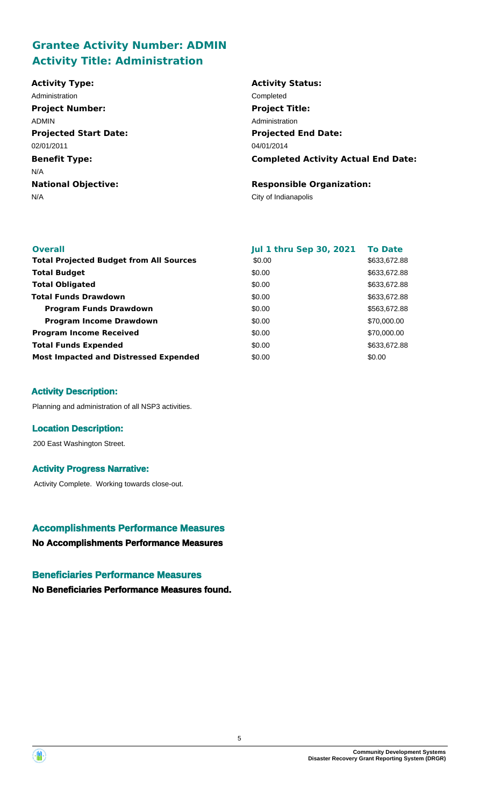# **Grantee Activity Number: ADMIN Activity Title: Administration**

| <b>Activity Type:</b>        | <b>Activity Status:</b>                    |
|------------------------------|--------------------------------------------|
| Administration               | Completed                                  |
| <b>Project Number:</b>       | <b>Project Title:</b>                      |
| <b>ADMIN</b>                 | Administration                             |
| <b>Projected Start Date:</b> | <b>Projected End Date:</b>                 |
| 02/01/2011                   | 04/01/2014                                 |
| <b>Benefit Type:</b>         | <b>Completed Activity Actual End Date:</b> |
| N/A                          |                                            |
| <b>National Objective:</b>   | <b>Responsible Organization:</b>           |
| N/A                          | City of Indianapolis                       |
|                              |                                            |

| <b>Overall</b>                                 | <b>Jul 1 thru Sep 30, 2021</b> | <b>To Date</b> |
|------------------------------------------------|--------------------------------|----------------|
| <b>Total Projected Budget from All Sources</b> | \$0.00                         | \$633,672.88   |
| <b>Total Budget</b>                            | \$0.00                         | \$633,672.88   |
| <b>Total Obligated</b>                         | \$0.00                         | \$633,672.88   |
| <b>Total Funds Drawdown</b>                    | \$0.00                         | \$633,672.88   |
| <b>Program Funds Drawdown</b>                  | \$0.00                         | \$563,672.88   |
| <b>Program Income Drawdown</b>                 | \$0.00                         | \$70,000.00    |
| <b>Program Income Received</b>                 | \$0.00                         | \$70,000.00    |
| <b>Total Funds Expended</b>                    | \$0.00                         | \$633,672.88   |
| <b>Most Impacted and Distressed Expended</b>   | \$0.00                         | \$0.00         |

### **Activity Description:**

Planning and administration of all NSP3 activities.

### **Location Description:**

200 East Washington Street.

### **Activity Progress Narrative:**

Activity Complete. Working towards close-out.

## **Accomplishments Performance Measures**

**No Accomplishments Performance Measures**

### **Beneficiaries Performance Measures**

**No Beneficiaries Performance Measures found.**



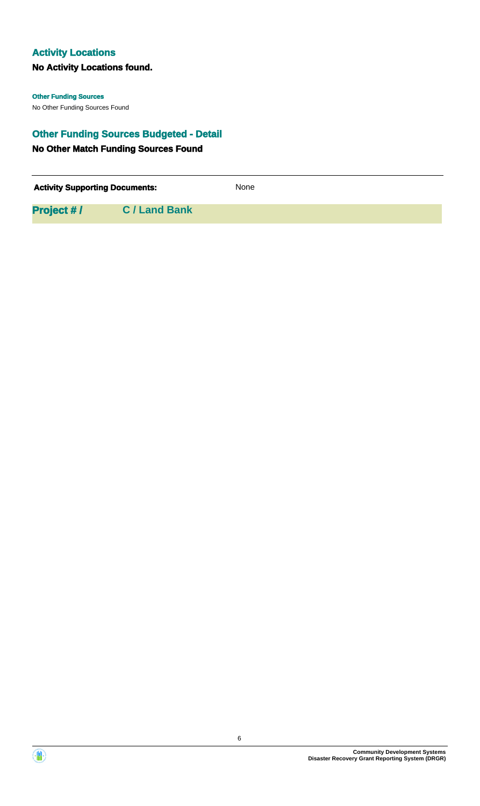## **Activity Locations**

## **No Activity Locations found.**

No Other Funding Sources Found **Other Funding Sources**

## **Other Funding Sources Budgeted - Detail**

## **No Other Match Funding Sources Found**

| <b>Activity Supporting Documents:</b> |                    | <b>None</b> |
|---------------------------------------|--------------------|-------------|
| <b>Project #/</b>                     | <b>C/Land Bank</b> |             |



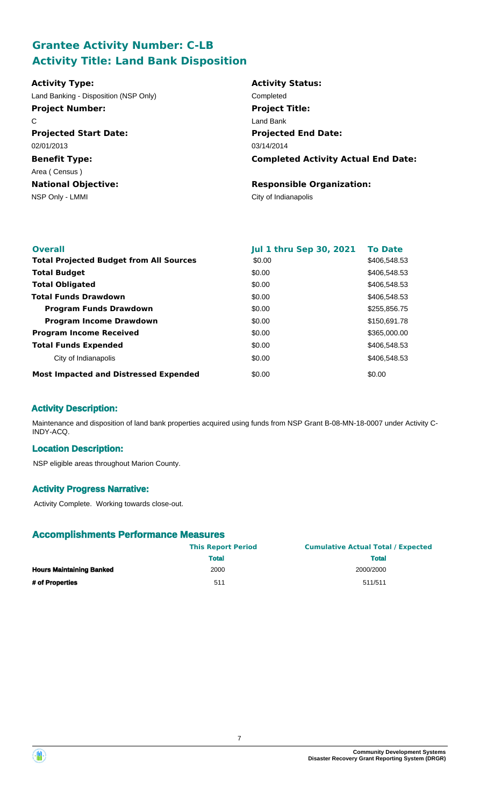# **Grantee Activity Number: C-LB Activity Title: Land Bank Disposition**

| <b>Activity Type:</b>                 | <b>Activity Status:</b>                    |
|---------------------------------------|--------------------------------------------|
| Land Banking - Disposition (NSP Only) | Completed                                  |
| <b>Project Number:</b>                | <b>Project Title:</b>                      |
| C                                     | Land Bank                                  |
| <b>Projected Start Date:</b>          | <b>Projected End Date:</b>                 |
| 02/01/2013                            | 03/14/2014                                 |
| <b>Benefit Type:</b>                  | <b>Completed Activity Actual End Date:</b> |
| Area (Census)                         |                                            |
| <b>National Objective:</b>            | <b>Responsible Organization:</b>           |
| NSP Only - LMMI                       | City of Indianapolis                       |

| <b>Overall</b>                                 | <b>Jul 1 thru Sep 30, 2021</b> | <b>To Date</b> |
|------------------------------------------------|--------------------------------|----------------|
| <b>Total Projected Budget from All Sources</b> | \$0.00                         | \$406,548.53   |
| <b>Total Budget</b>                            | \$0.00                         | \$406,548.53   |
| <b>Total Obligated</b>                         | \$0.00                         | \$406,548.53   |
| <b>Total Funds Drawdown</b>                    | \$0.00                         | \$406,548.53   |
| <b>Program Funds Drawdown</b>                  | \$0.00                         | \$255,856.75   |
| <b>Program Income Drawdown</b>                 | \$0.00                         | \$150,691.78   |
| <b>Program Income Received</b>                 | \$0.00                         | \$365,000.00   |
| <b>Total Funds Expended</b>                    | \$0.00                         | \$406,548.53   |
| City of Indianapolis                           | \$0.00                         | \$406,548.53   |
| <b>Most Impacted and Distressed Expended</b>   | \$0.00                         | \$0.00         |

## **Activity Description:**

Maintenance and disposition of land bank properties acquired using funds from NSP Grant B-08-MN-18-0007 under Activity C-INDY-ACQ.

### **Location Description:**

NSP eligible areas throughout Marion County.

### **Activity Progress Narrative:**

Activity Complete. Working towards close-out.

|                                 | <b>This Report Period</b> | <b>Cumulative Actual Total / Expected</b> |  |  |
|---------------------------------|---------------------------|-------------------------------------------|--|--|
|                                 | <b>Total</b>              | <b>Total</b>                              |  |  |
| <b>Hours Maintaining Banked</b> | 2000                      | 2000/2000                                 |  |  |
| # of Properties                 | 511                       | 511/511                                   |  |  |



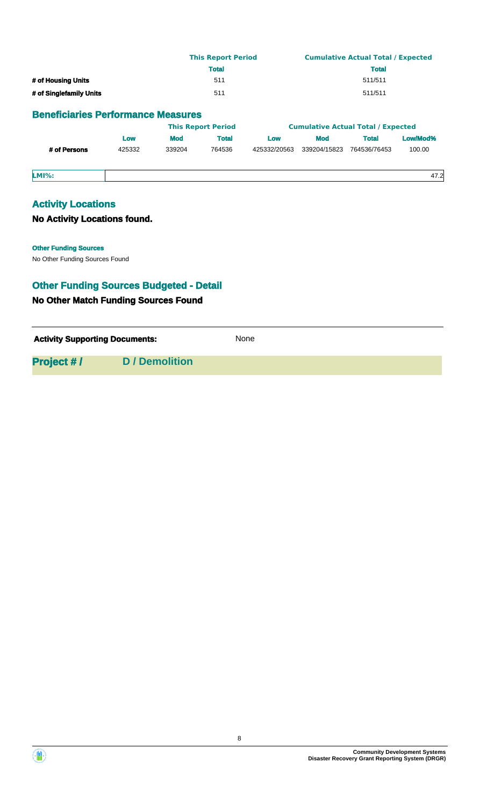|                                           | <b>This Report Period</b> | <b>Cumulative Actual Total / Expected</b> |  |  |
|-------------------------------------------|---------------------------|-------------------------------------------|--|--|
|                                           | <b>Total</b>              | <b>Total</b>                              |  |  |
| # of Housing Units                        | 511                       | 511/511                                   |  |  |
| # of Singlefamily Units                   | 511                       | 511/511                                   |  |  |
| <b>Beneficiaries Performance Measures</b> |                           |                                           |  |  |
|                                           | <b>This Report Period</b> | <b>Cumulative Actual Total / Expected</b> |  |  |

|              | Low    | <b>Mod</b> | Total  | <b>LOW</b>   | Mod          | <b>Total</b> | Low/Mod% |
|--------------|--------|------------|--------|--------------|--------------|--------------|----------|
| # of Persons | 425332 | 339204     | 764536 | 425332/20563 | 339204/15823 | 764536/76453 | 100.00   |
|              |        |            |        |              |              |              |          |
|              |        |            |        |              |              |              |          |

**LMI%:** 47.2

## **Activity Locations**

### **No Activity Locations found.**

No Other Funding Sources Found **Other Funding Sources**

# **Other Funding Sources Budgeted - Detail**

## **No Other Match Funding Sources Found**

Activity **Supporting Documents:** None

**Project # / D / Demolition**

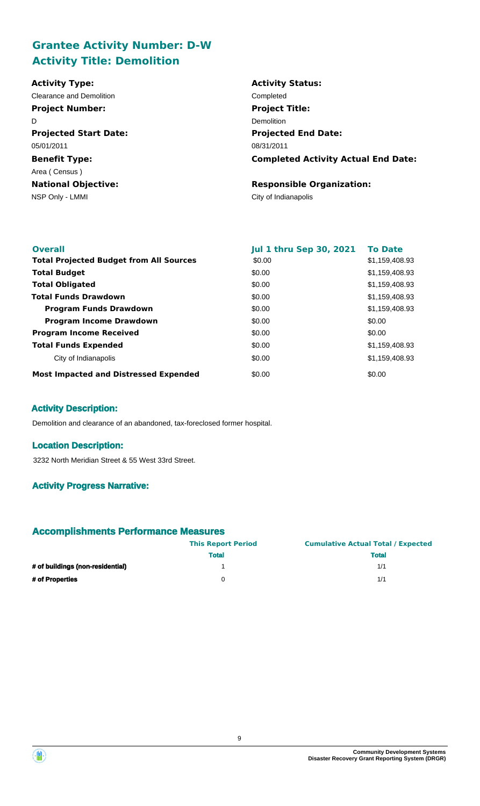# **Grantee Activity Number: D-W Activity Title: Demolition**

| <b>Activity Type:</b>        | <b>Activity Status:</b>                    |
|------------------------------|--------------------------------------------|
| Clearance and Demolition     | Completed                                  |
| <b>Project Number:</b>       | <b>Project Title:</b>                      |
| D                            | Demolition                                 |
| <b>Projected Start Date:</b> | <b>Projected End Date:</b>                 |
| 05/01/2011                   | 08/31/2011                                 |
| <b>Benefit Type:</b>         | <b>Completed Activity Actual End Date:</b> |
| Area (Census)                |                                            |
| <b>National Objective:</b>   | <b>Responsible Organization:</b>           |
| NSP Only - LMMI              | City of Indianapolis                       |

| <b>Overall</b>                                 | <b>Jul 1 thru Sep 30, 2021</b> | <b>To Date</b> |
|------------------------------------------------|--------------------------------|----------------|
| <b>Total Projected Budget from All Sources</b> | \$0.00                         | \$1,159,408.93 |
| <b>Total Budget</b>                            | \$0.00                         | \$1,159,408.93 |
| <b>Total Obligated</b>                         | \$0.00                         | \$1,159,408.93 |
| <b>Total Funds Drawdown</b>                    | \$0.00                         | \$1,159,408.93 |
| <b>Program Funds Drawdown</b>                  | \$0.00                         | \$1,159,408.93 |
| <b>Program Income Drawdown</b>                 | \$0.00                         | \$0.00         |
| <b>Program Income Received</b>                 | \$0.00                         | \$0.00         |
| <b>Total Funds Expended</b>                    | \$0.00                         | \$1,159,408.93 |
| City of Indianapolis                           | \$0.00                         | \$1,159,408.93 |
| <b>Most Impacted and Distressed Expended</b>   | \$0.00                         | \$0.00         |

## **Activity Description:**

Demolition and clearance of an abandoned, tax-foreclosed former hospital.

### **Location Description:**

3232 North Meridian Street & 55 West 33rd Street.

## **Activity Progress Narrative:**

|                                  | <b>This Report Period</b> | <b>Cumulative Actual Total / Expected</b> |  |  |
|----------------------------------|---------------------------|-------------------------------------------|--|--|
|                                  | <b>Total</b>              | <b>Total</b>                              |  |  |
| # of buildings (non-residential) |                           | 1/1                                       |  |  |
| # of Properties                  | 0                         | 1/1                                       |  |  |

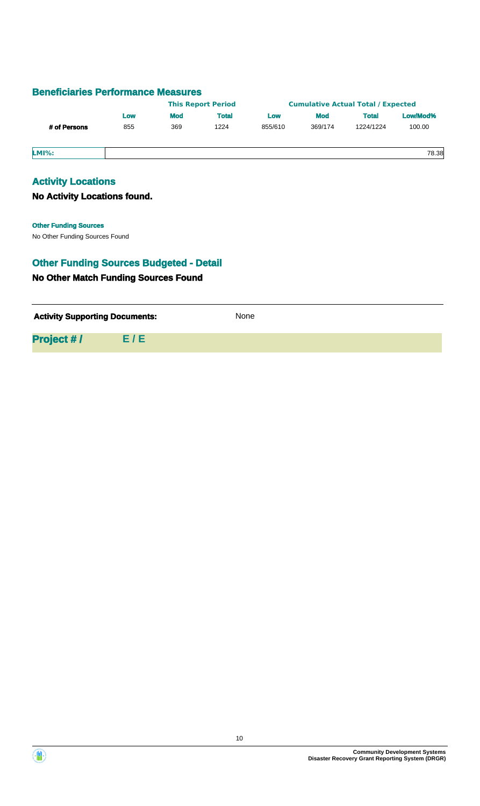|              |     |            | <b>This Report Period</b> |         |            | <b>Cumulative Actual Total / Expected</b> |          |
|--------------|-----|------------|---------------------------|---------|------------|-------------------------------------------|----------|
|              | Low | <b>Mod</b> | <b>Total</b>              | Low     | <b>Mod</b> | <b>Total</b>                              | Low/Mod% |
| # of Persons | 855 | 369        | 1224                      | 855/610 | 369/174    | 1224/1224                                 | 100.00   |
| <b>LMI%:</b> |     |            |                           |         |            |                                           | 78.38    |

## **Activity Locations**

### **No Activity Locations found.**

# **Other Funding Sources**

No Other Funding Sources Found

# **No Other Match Funding Sources Found Other Funding Sources Budgeted - Detail**

| <b>Activity Supporting Documents:</b> |     | None |
|---------------------------------------|-----|------|
| <b>Project #/</b>                     | E/E |      |

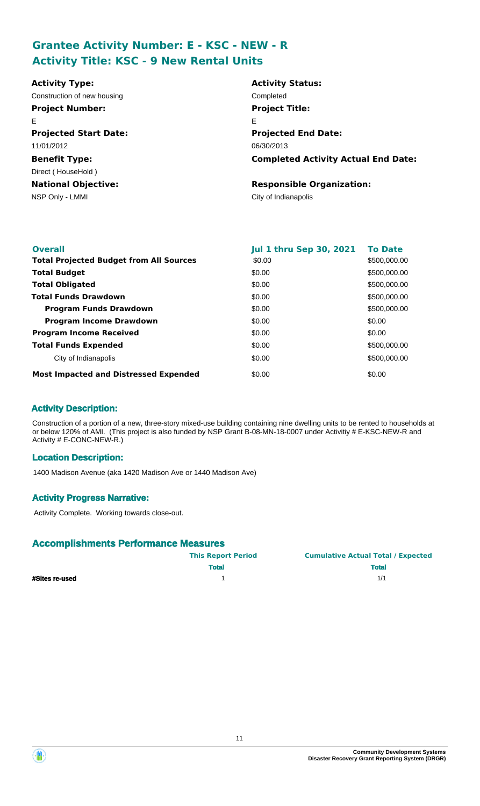# **Grantee Activity Number: E - KSC - NEW - R Activity Title: KSC - 9 New Rental Units**

| <b>Activity Type:</b>        | <b>Activity Status:</b>                    |
|------------------------------|--------------------------------------------|
| Construction of new housing  | Completed                                  |
| <b>Project Number:</b>       | <b>Project Title:</b>                      |
| E                            | Е                                          |
| <b>Projected Start Date:</b> | <b>Projected End Date:</b>                 |
| 11/01/2012                   | 06/30/2013                                 |
| <b>Benefit Type:</b>         | <b>Completed Activity Actual End Date:</b> |
| Direct (HouseHold)           |                                            |
| <b>National Objective:</b>   | <b>Responsible Organization:</b>           |
| NSP Only - LMMI              | City of Indianapolis                       |
|                              |                                            |

| <b>Overall</b>                                 | <b>Jul 1 thru Sep 30, 2021</b> | <b>To Date</b> |
|------------------------------------------------|--------------------------------|----------------|
| <b>Total Projected Budget from All Sources</b> | \$0.00                         | \$500,000.00   |
| <b>Total Budget</b>                            | \$0.00                         | \$500,000.00   |
| <b>Total Obligated</b>                         | \$0.00                         | \$500,000.00   |
| <b>Total Funds Drawdown</b>                    | \$0.00                         | \$500,000.00   |
| <b>Program Funds Drawdown</b>                  | \$0.00                         | \$500,000.00   |
| <b>Program Income Drawdown</b>                 | \$0.00                         | \$0.00         |
| <b>Program Income Received</b>                 | \$0.00                         | \$0.00         |
| <b>Total Funds Expended</b>                    | \$0.00                         | \$500,000.00   |
| City of Indianapolis                           | \$0.00                         | \$500,000.00   |
| <b>Most Impacted and Distressed Expended</b>   | \$0.00                         | \$0.00         |

### **Activity Description:**

Construction of a portion of a new, three-story mixed-use building containing nine dwelling units to be rented to households at or below 120% of AMI. (This project is also funded by NSP Grant B-08-MN-18-0007 under Activitiy # E-KSC-NEW-R and Activity # E-CONC-NEW-R.)

### **Location Description:**

1400 Madison Avenue (aka 1420 Madison Ave or 1440 Madison Ave)

### **Activity Progress Narrative:**

Activity Complete. Working towards close-out.

|                       | <b>This Report Period</b> | <b>Cumulative Actual Total / Expected</b> |
|-----------------------|---------------------------|-------------------------------------------|
|                       | <b>Total</b>              | <b>Total</b>                              |
| <b>#Sites re-used</b> |                           | 1/1                                       |

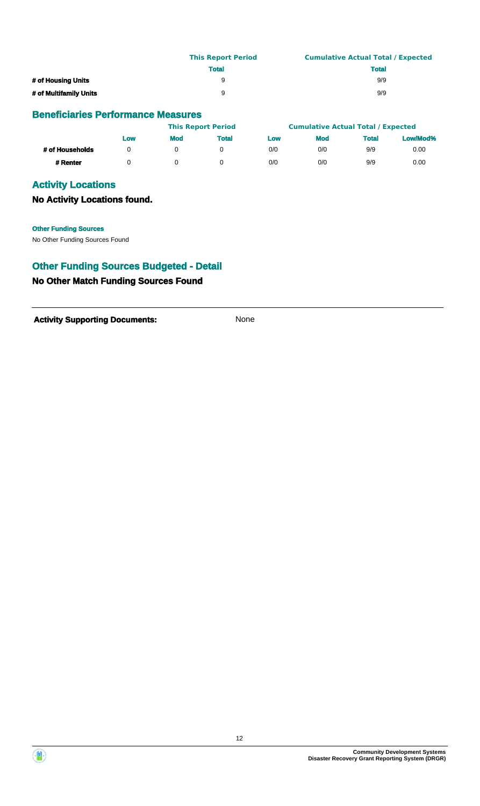|                        | <b>This Report Period</b> | <b>Cumulative Actual Total / Expected</b> |
|------------------------|---------------------------|-------------------------------------------|
|                        | <b>Total</b>              | <b>Total</b>                              |
| # of Housing Units     | 9                         | 9/9                                       |
| # of Multifamily Units | 9                         | 9/9                                       |

|                 |     |            | <b>This Report Period</b> |     | <b>Cumulative Actual Total / Expected</b> |              |          |
|-----------------|-----|------------|---------------------------|-----|-------------------------------------------|--------------|----------|
|                 | LOW | <b>Mod</b> | <b>Total</b>              | Low | <b>Mod</b>                                | <b>Total</b> | Low/Mod% |
| # of Households |     |            |                           | 0/0 | 0/0                                       | 9/9          | 0.00     |
| # Renter        |     |            |                           | 0/0 | 0/0                                       | 9/9          | 0.00     |

## **Activity Locations**

**No Activity Locations found.**

#### **Other Funding Sources**

No Other Funding Sources Found

## **Other Funding Sources Budgeted - Detail**

## **No Other Match Funding Sources Found**

**Activity Supporting Documents:** None



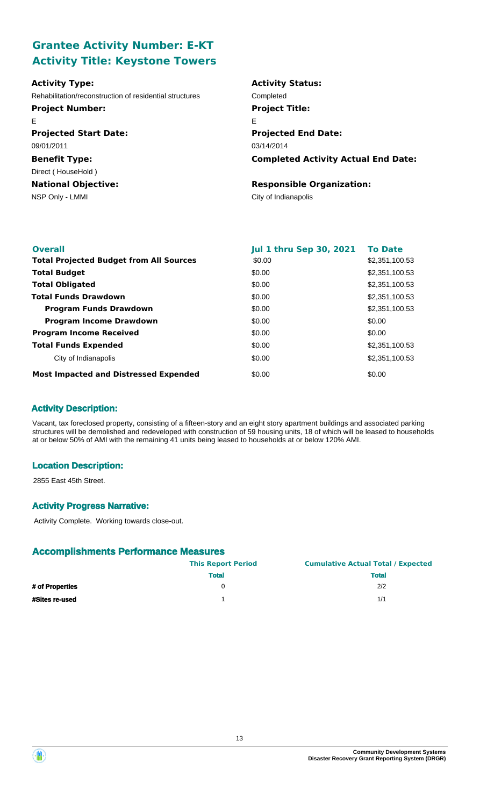# **Grantee Activity Number: E-KT Activity Title: Keystone Towers**

| <b>Activity Type:</b>                                   | <b>Activity Status:</b>                    |
|---------------------------------------------------------|--------------------------------------------|
| Rehabilitation/reconstruction of residential structures | Completed                                  |
| <b>Project Number:</b>                                  | <b>Project Title:</b>                      |
| Е                                                       | Е                                          |
| <b>Projected Start Date:</b>                            | <b>Projected End Date:</b>                 |
| 09/01/2011                                              | 03/14/2014                                 |
| <b>Benefit Type:</b>                                    | <b>Completed Activity Actual End Date:</b> |
| Direct (HouseHold)                                      |                                            |
| <b>National Objective:</b>                              | <b>Responsible Organization:</b>           |
| NSP Only - LMMI                                         | City of Indianapolis                       |
|                                                         |                                            |

| <b>Overall</b>                                 | <b>Jul 1 thru Sep 30, 2021</b> | <b>To Date</b> |
|------------------------------------------------|--------------------------------|----------------|
| <b>Total Projected Budget from All Sources</b> | \$0.00                         | \$2,351,100.53 |
| <b>Total Budget</b>                            | \$0.00                         | \$2,351,100.53 |
| <b>Total Obligated</b>                         | \$0.00                         | \$2,351,100.53 |
| <b>Total Funds Drawdown</b>                    | \$0.00                         | \$2,351,100.53 |
| <b>Program Funds Drawdown</b>                  | \$0.00                         | \$2,351,100.53 |
| <b>Program Income Drawdown</b>                 | \$0.00                         | \$0.00         |
| <b>Program Income Received</b>                 | \$0.00                         | \$0.00         |
| <b>Total Funds Expended</b>                    | \$0.00                         | \$2,351,100.53 |
| City of Indianapolis                           | \$0.00                         | \$2,351,100.53 |
| <b>Most Impacted and Distressed Expended</b>   | \$0.00                         | \$0.00         |

### **Activity Description:**

Vacant, tax foreclosed property, consisting of a fifteen-story and an eight story apartment buildings and associated parking structures will be demolished and redeveloped with construction of 59 housing units, 18 of which will be leased to households at or below 50% of AMI with the remaining 41 units being leased to households at or below 120% AMI.

### **Location Description:**

2855 East 45th Street.

### **Activity Progress Narrative:**

Activity Complete. Working towards close-out.

|                 | <b>This Report Period</b> | <b>Cumulative Actual Total / Expected</b> |
|-----------------|---------------------------|-------------------------------------------|
|                 | <b>Total</b>              | <b>Total</b>                              |
| # of Properties |                           | 2/2                                       |
| #Sites re-used  |                           | 1/1                                       |



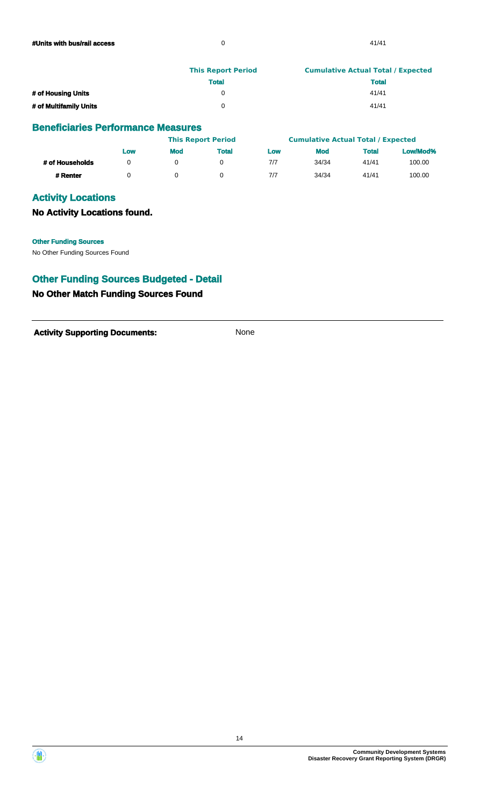|                        | <b>This Report Period</b> | <b>Cumulative Actual Total / Expected</b> |
|------------------------|---------------------------|-------------------------------------------|
|                        | <b>Total</b>              | <b>Total</b>                              |
| # of Housing Units     |                           | 41/41                                     |
| # of Multifamily Units |                           | 41/41                                     |

|                 |     |            | <b>This Report Period</b> |     | <b>Cumulative Actual Total / Expected</b> |              |          |
|-----------------|-----|------------|---------------------------|-----|-------------------------------------------|--------------|----------|
|                 | Low | <b>Mod</b> | <b>Total</b>              | Low | <b>Mod</b>                                | <b>Total</b> | Low/Mod% |
| # of Households |     |            |                           | 7/7 | 34/34                                     | 41/41        | 100.00   |
| # Renter        |     |            |                           | 7/7 | 34/34                                     | 41/41        | 100.00   |

## **Activity Locations**

**No Activity Locations found.**

**Other Funding Sources**

No Other Funding Sources Found

### **Other Funding Sources Budgeted - Detail**

### **No Other Match Funding Sources Found**

Activity **Supporting Documents:** None

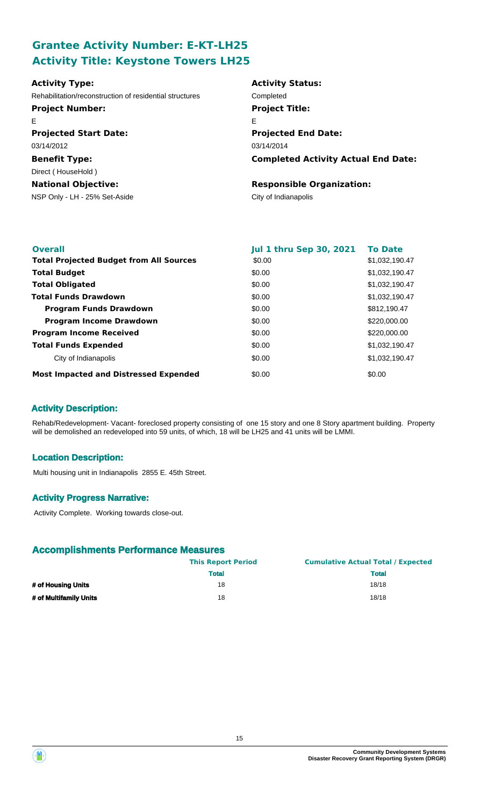# **Grantee Activity Number: E-KT-LH25 Activity Title: Keystone Towers LH25**

| <b>Activity Type:</b>                                   | <b>Activity Status:</b>                    |
|---------------------------------------------------------|--------------------------------------------|
| Rehabilitation/reconstruction of residential structures | Completed                                  |
| <b>Project Number:</b>                                  | <b>Project Title:</b>                      |
| E.                                                      | Е                                          |
| <b>Projected Start Date:</b>                            | <b>Projected End Date:</b>                 |
| 03/14/2012                                              | 03/14/2014                                 |
| <b>Benefit Type:</b>                                    | <b>Completed Activity Actual End Date:</b> |
| Direct (HouseHold)                                      |                                            |
| <b>National Objective:</b>                              | <b>Responsible Organization:</b>           |
| NSP Only - LH - 25% Set-Aside                           | City of Indianapolis                       |

| <b>Overall</b>                                 | <b>Jul 1 thru Sep 30, 2021</b> | <b>To Date</b> |
|------------------------------------------------|--------------------------------|----------------|
| <b>Total Projected Budget from All Sources</b> | \$0.00                         | \$1,032,190.47 |
| <b>Total Budget</b>                            | \$0.00                         | \$1,032,190.47 |
| <b>Total Obligated</b>                         | \$0.00                         | \$1,032,190.47 |
| <b>Total Funds Drawdown</b>                    | \$0.00                         | \$1,032,190.47 |
| <b>Program Funds Drawdown</b>                  | \$0.00                         | \$812,190.47   |
| <b>Program Income Drawdown</b>                 | \$0.00                         | \$220,000.00   |
| <b>Program Income Received</b>                 | \$0.00                         | \$220,000.00   |
| <b>Total Funds Expended</b>                    | \$0.00                         | \$1,032,190.47 |
| City of Indianapolis                           | \$0.00                         | \$1,032,190.47 |
| <b>Most Impacted and Distressed Expended</b>   | \$0.00                         | \$0.00         |

## **Activity Description:**

Rehab/Redevelopment- Vacant- foreclosed property consisting of one 15 story and one 8 Story apartment building. Property will be demolished an redeveloped into 59 units, of which, 18 will be LH25 and 41 units will be LMMI.

### **Location Description:**

Multi housing unit in Indianapolis 2855 E. 45th Street.

### **Activity Progress Narrative:**

Activity Complete. Working towards close-out.

|                        | <b>This Report Period</b> | <b>Cumulative Actual Total / Expected</b> |
|------------------------|---------------------------|-------------------------------------------|
|                        | <b>Total</b>              | <b>Total</b>                              |
| # of Housing Units     | 18                        | 18/18                                     |
| # of Multifamily Units | 18                        | 18/18                                     |



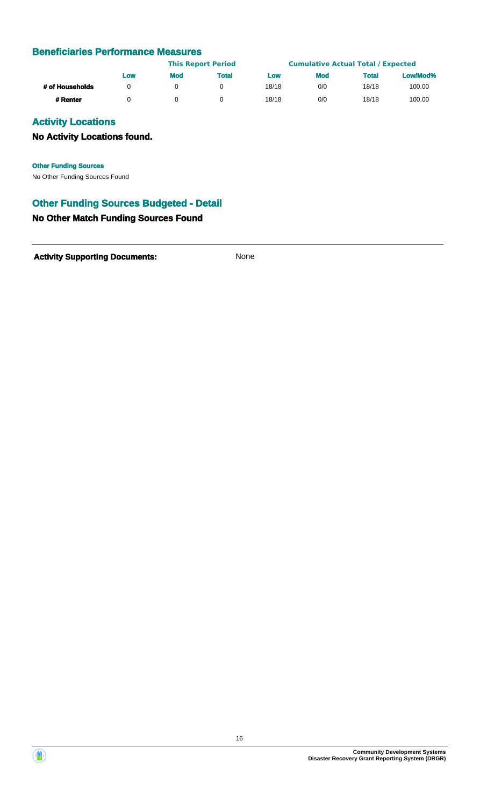|                 |     |            | <b>This Report Period</b> |       | <b>Cumulative Actual Total / Expected</b> |              |          |
|-----------------|-----|------------|---------------------------|-------|-------------------------------------------|--------------|----------|
|                 | Low | <b>Mod</b> | <b>Total</b>              | Low   | <b>Mod</b>                                | <b>Total</b> | Low/Mod% |
| # of Households |     |            |                           | 18/18 | 0/0                                       | 18/18        | 100.00   |
| # Renter        |     |            |                           | 18/18 | 0/0                                       | 18/18        | 100.00   |

## **Activity Locations**

## **No Activity Locations found.**

**Other Funding Sources**

No Other Funding Sources Found

## **Other Funding Sources Budgeted - Detail**

### **No Other Match Funding Sources Found**

Activity **Supporting Documents:** None



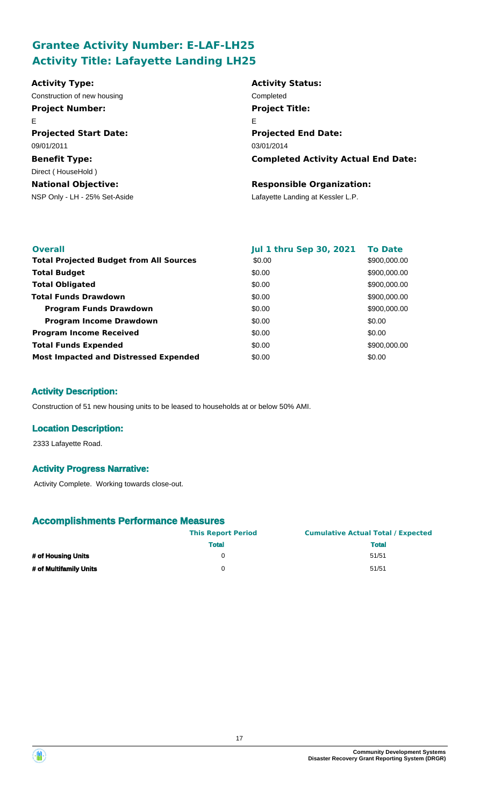# **Grantee Activity Number: E-LAF-LH25 Activity Title: Lafayette Landing LH25**

| <b>Activity Type:</b>         | <b>Activity Status:</b>                    |
|-------------------------------|--------------------------------------------|
| Construction of new housing   | Completed                                  |
| <b>Project Number:</b>        | <b>Project Title:</b>                      |
| E                             | E                                          |
| <b>Projected Start Date:</b>  | <b>Projected End Date:</b>                 |
| 09/01/2011                    | 03/01/2014                                 |
| <b>Benefit Type:</b>          | <b>Completed Activity Actual End Date:</b> |
| Direct (HouseHold)            |                                            |
| <b>National Objective:</b>    | <b>Responsible Organization:</b>           |
| NSP Only - LH - 25% Set-Aside | Lafayette Landing at Kessler L.P.          |
|                               |                                            |
|                               |                                            |

| <b>Overall</b>                                 | <b>Jul 1 thru Sep 30, 2021</b> | <b>To Date</b> |
|------------------------------------------------|--------------------------------|----------------|
| <b>Total Projected Budget from All Sources</b> | \$0.00                         | \$900,000.00   |
| <b>Total Budget</b>                            | \$0.00                         | \$900,000.00   |
| <b>Total Obligated</b>                         | \$0.00                         | \$900,000.00   |
| <b>Total Funds Drawdown</b>                    | \$0.00                         | \$900,000.00   |
| <b>Program Funds Drawdown</b>                  | \$0.00                         | \$900,000.00   |
| <b>Program Income Drawdown</b>                 | \$0.00                         | \$0.00         |
| <b>Program Income Received</b>                 | \$0.00                         | \$0.00         |
| <b>Total Funds Expended</b>                    | \$0.00                         | \$900,000.00   |
| <b>Most Impacted and Distressed Expended</b>   | \$0.00                         | \$0.00         |

### **Activity Description:**

Construction of 51 new housing units to be leased to households at or below 50% AMI.

### **Location Description:**

2333 Lafayette Road.

### **Activity Progress Narrative:**

Activity Complete. Working towards close-out.

|                        | <b>This Report Period</b> | <b>Cumulative Actual Total / Expected</b> |
|------------------------|---------------------------|-------------------------------------------|
|                        | <b>Total</b>              | <b>Total</b>                              |
| # of Housing Units     |                           | 51/51                                     |
| # of Multifamily Units | 0                         | 51/51                                     |

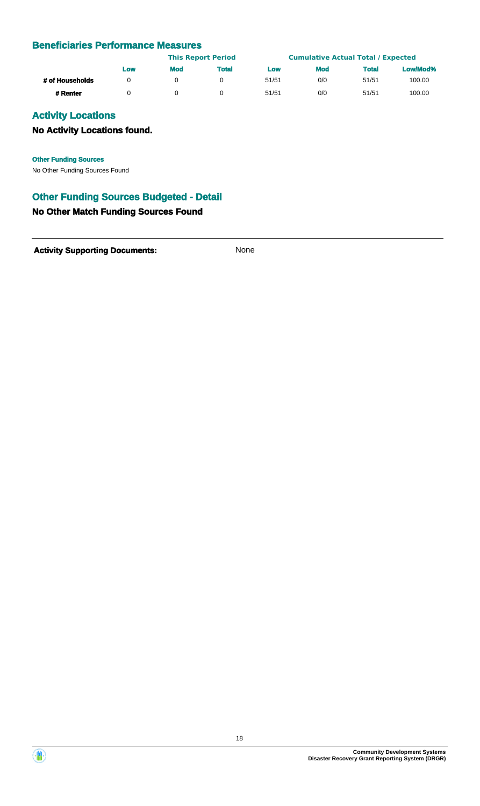|                 | LOW |            | <b>This Report Period</b> |       | <b>Cumulative Actual Total / Expected</b> |              |          |
|-----------------|-----|------------|---------------------------|-------|-------------------------------------------|--------------|----------|
|                 |     | <b>Mod</b> | Total                     | Low   | <b>Mod</b>                                | <b>Total</b> | Low/Mod% |
| # of Households |     |            |                           | 51/51 | 0/0                                       | 51/51        | 100.00   |
| # Renter        |     |            |                           | 51/51 | 0/0                                       | 51/51        | 100.00   |

# **Activity Locations**

## **No Activity Locations found.**

**Other Funding Sources**

No Other Funding Sources Found

## **Other Funding Sources Budgeted - Detail**

### **No Other Match Funding Sources Found**

**Activity Supporting Documents:** None



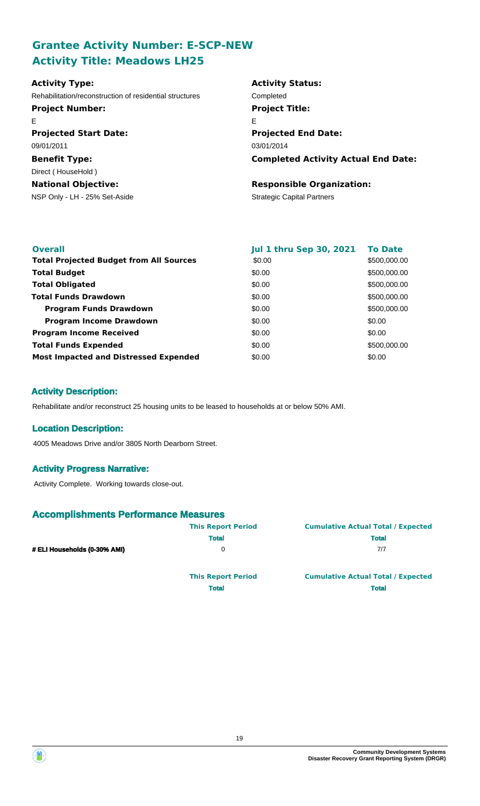# **Grantee Activity Number: E-SCP-NEW Activity Title: Meadows LH25**

| <b>Activity Type:</b>                                   | <b>Activity Status:</b>                    |
|---------------------------------------------------------|--------------------------------------------|
| Rehabilitation/reconstruction of residential structures | Completed                                  |
| <b>Project Number:</b>                                  | <b>Project Title:</b>                      |
| E                                                       | Е                                          |
| <b>Projected Start Date:</b>                            | <b>Projected End Date:</b>                 |
| 09/01/2011                                              | 03/01/2014                                 |
| <b>Benefit Type:</b>                                    | <b>Completed Activity Actual End Date:</b> |
| Direct (HouseHold)                                      |                                            |
| <b>National Objective:</b>                              | <b>Responsible Organization:</b>           |
| NSP Only - LH - 25% Set-Aside                           | <b>Strategic Capital Partners</b>          |
|                                                         |                                            |

| <b>Overall</b>                                 | <b>Jul 1 thru Sep 30, 2021</b> | <b>To Date</b> |
|------------------------------------------------|--------------------------------|----------------|
| <b>Total Projected Budget from All Sources</b> | \$0.00                         | \$500,000.00   |
| <b>Total Budget</b>                            | \$0.00                         | \$500,000.00   |
| <b>Total Obligated</b>                         | \$0.00                         | \$500,000.00   |
| <b>Total Funds Drawdown</b>                    | \$0.00                         | \$500,000.00   |
| <b>Program Funds Drawdown</b>                  | \$0.00                         | \$500,000.00   |
| <b>Program Income Drawdown</b>                 | \$0.00                         | \$0.00         |
| <b>Program Income Received</b>                 | \$0.00                         | \$0.00         |
| <b>Total Funds Expended</b>                    | \$0.00                         | \$500,000.00   |
| <b>Most Impacted and Distressed Expended</b>   | \$0.00                         | \$0.00         |

### **Activity Description:**

Rehabilitate and/or reconstruct 25 housing units to be leased to households at or below 50% AMI.

#### **Location Description:**

4005 Meadows Drive and/or 3805 North Dearborn Street.

#### **Activity Progress Narrative:**

Activity Complete. Working towards close-out.

### **Accomplishments Performance Measures**

|                              | <b>This Report Period</b> | <b>Cumulative Actual Total / Expected</b> |
|------------------------------|---------------------------|-------------------------------------------|
|                              | <b>Total</b>              | <b>Total</b>                              |
| # ELI Households (0-30% AMI) | 0                         | 7/7                                       |
|                              | <b>This Report Period</b> | <b>Cumulative Actual Total / Expected</b> |

**Total Total**

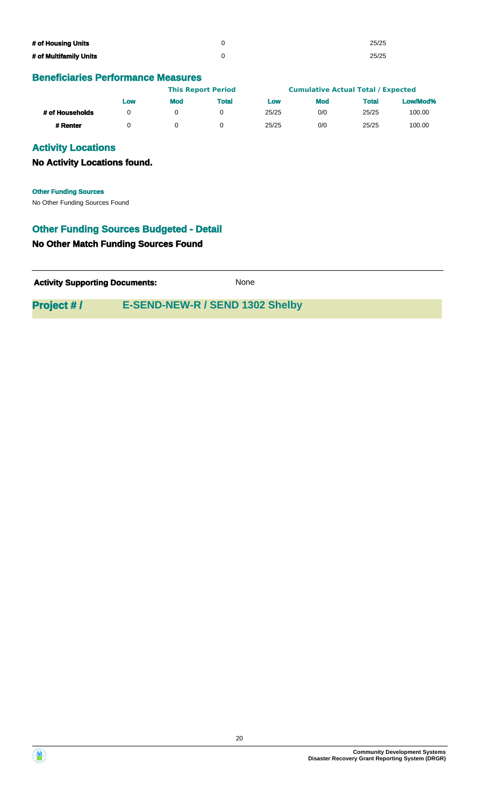| # of Housing Units     | 25/25 |
|------------------------|-------|
| # of Multifamily Units | 25/25 |

|                 | LOW |            | <b>This Report Period</b> |            | <b>Cumulative Actual Total / Expected</b> |              |          |
|-----------------|-----|------------|---------------------------|------------|-------------------------------------------|--------------|----------|
|                 |     | <b>Mod</b> | <b>Total</b>              | <b>LOW</b> | <b>Mod</b>                                | <b>Total</b> | Low/Mod% |
| # of Households |     |            |                           | 25/25      | 0/0                                       | 25/25        | 100.00   |
| # Renter        |     |            |                           | 25/25      | 0/0                                       | 25/25        | 100.00   |

### **Activity Locations**

**No Activity Locations found.**

No Other Funding Sources Found **Other Funding Sources**

## **Other Funding Sources Budgeted - Detail**

### **No Other Match Funding Sources Found**

**Activity Supporting Documents:** None

**Project # / E-SEND-NEW-R / SEND 1302 Shelby**



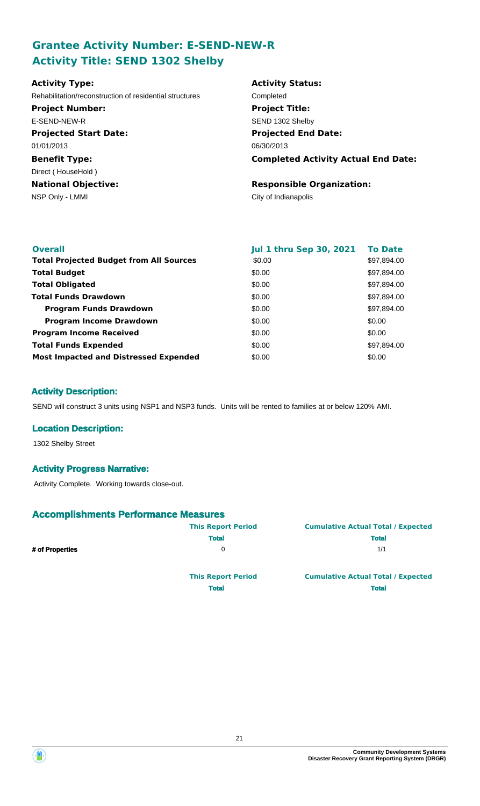# **Grantee Activity Number: E-SEND-NEW-R Activity Title: SEND 1302 Shelby**

| <b>Activity Type:</b>                                   | <b>Activity Status:</b>                    |
|---------------------------------------------------------|--------------------------------------------|
| Rehabilitation/reconstruction of residential structures | Completed                                  |
| <b>Project Number:</b>                                  | <b>Project Title:</b>                      |
| E-SEND-NEW-R                                            | SEND 1302 Shelby                           |
| <b>Projected Start Date:</b>                            | <b>Projected End Date:</b>                 |
| 01/01/2013                                              | 06/30/2013                                 |
| <b>Benefit Type:</b>                                    | <b>Completed Activity Actual End Date:</b> |
| Direct (HouseHold)                                      |                                            |
| <b>National Objective:</b>                              | <b>Responsible Organization:</b>           |
| NSP Only - LMMI                                         | City of Indianapolis                       |
|                                                         |                                            |

| <b>Overall</b>                                 | <b>Jul 1 thru Sep 30, 2021</b> | <b>To Date</b> |
|------------------------------------------------|--------------------------------|----------------|
| <b>Total Projected Budget from All Sources</b> | \$0.00                         | \$97,894.00    |
| <b>Total Budget</b>                            | \$0.00                         | \$97,894.00    |
| <b>Total Obligated</b>                         | \$0.00                         | \$97,894.00    |
| <b>Total Funds Drawdown</b>                    | \$0.00                         | \$97,894.00    |
| <b>Program Funds Drawdown</b>                  | \$0.00                         | \$97,894.00    |
| <b>Program Income Drawdown</b>                 | \$0.00                         | \$0.00         |
| <b>Program Income Received</b>                 | \$0.00                         | \$0.00         |
| <b>Total Funds Expended</b>                    | \$0.00                         | \$97,894.00    |
| <b>Most Impacted and Distressed Expended</b>   | \$0.00                         | \$0.00         |

### **Activity Description:**

SEND will construct 3 units using NSP1 and NSP3 funds. Units will be rented to families at or below 120% AMI.

### **Location Description:**

1302 Shelby Street

#### **Activity Progress Narrative:**

Activity Complete. Working towards close-out.

### **Accomplishments Performance Measures**

|                 | <b>This Report Period</b> | <b>Cumulative Actual Total / Expected</b> |
|-----------------|---------------------------|-------------------------------------------|
|                 | <b>Total</b>              | <b>Total</b>                              |
| # of Properties |                           | 1/1                                       |
|                 | <b>This Report Period</b> | <b>Cumulative Actual Total / Expected</b> |

**Total Total**

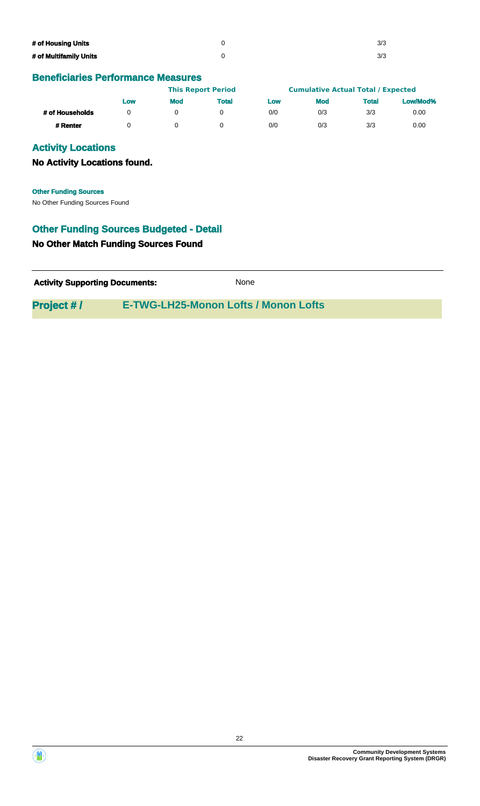| # of Housing Units     | 3/3 |
|------------------------|-----|
| # of Multifamily Units | 3/3 |

|                 |     |            | <b>This Report Period</b> |     | <b>Cumulative Actual Total / Expected</b> |              |          |
|-----------------|-----|------------|---------------------------|-----|-------------------------------------------|--------------|----------|
|                 | Low | <b>Mod</b> | Total                     | Low | <b>Mod</b>                                | <b>Total</b> | Low/Mod% |
| # of Households |     |            |                           | 0/0 | 0/3                                       | 3/3          | 0.00     |
| # Renter        |     |            |                           | 0/0 | 0/3                                       | 3/3          | 0.00     |

## **Activity Locations**

**No Activity Locations found.**

No Other Funding Sources Found **Other Funding Sources**

## **Other Funding Sources Budgeted - Detail**

### **No Other Match Funding Sources Found**

| <b>Activity Supporting Documents:</b> | None |
|---------------------------------------|------|
|                                       |      |

# **Project # / E-TWG-LH25-Monon Lofts / Monon Lofts**



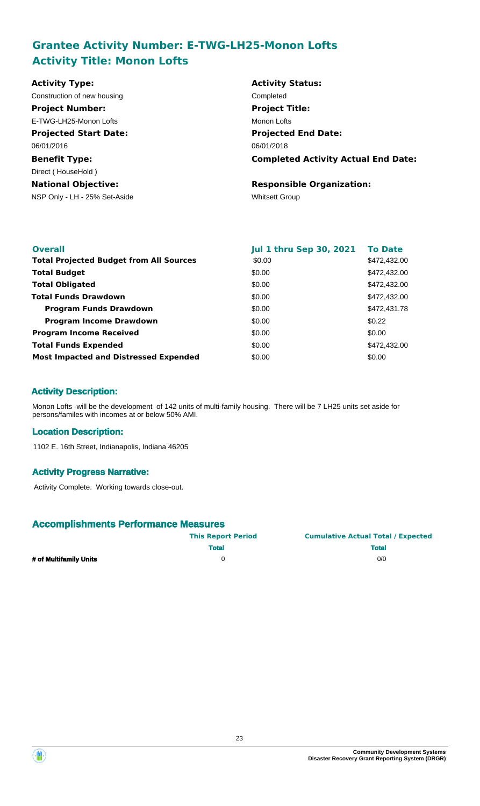# **Grantee Activity Number: E-TWG-LH25-Monon Lofts Activity Title: Monon Lofts**

| <b>Activity Type:</b>         | <b>Activity Status:</b>                    |
|-------------------------------|--------------------------------------------|
| Construction of new housing   | Completed                                  |
| <b>Project Number:</b>        | <b>Project Title:</b>                      |
| E-TWG-LH25-Monon Lofts        | Monon Lofts                                |
| <b>Projected Start Date:</b>  | <b>Projected End Date:</b>                 |
| 06/01/2016                    | 06/01/2018                                 |
| <b>Benefit Type:</b>          | <b>Completed Activity Actual End Date:</b> |
| Direct (HouseHold)            |                                            |
| <b>National Objective:</b>    | <b>Responsible Organization:</b>           |
| NSP Only - LH - 25% Set-Aside | <b>Whitsett Group</b>                      |

| <b>Overall</b>                                 | <b>Jul 1 thru Sep 30, 2021</b> | <b>To Date</b> |
|------------------------------------------------|--------------------------------|----------------|
| <b>Total Projected Budget from All Sources</b> | \$0.00                         | \$472,432.00   |
| <b>Total Budget</b>                            | \$0.00                         | \$472,432.00   |
| <b>Total Obligated</b>                         | \$0.00                         | \$472,432.00   |
| <b>Total Funds Drawdown</b>                    | \$0.00                         | \$472,432.00   |
| <b>Program Funds Drawdown</b>                  | \$0.00                         | \$472,431.78   |
| <b>Program Income Drawdown</b>                 | \$0.00                         | \$0.22         |
| <b>Program Income Received</b>                 | \$0.00                         | \$0.00         |
| <b>Total Funds Expended</b>                    | \$0.00                         | \$472,432,00   |
| <b>Most Impacted and Distressed Expended</b>   | \$0.00                         | \$0.00         |

### **Activity Description:**

Monon Lofts -will be the development of 142 units of multi-family housing. There will be 7 LH25 units set aside for persons/familes with incomes at or below 50% AMI.

### **Location Description:**

1102 E. 16th Street, Indianapolis, Indiana 46205

### **Activity Progress Narrative:**

Activity Complete. Working towards close-out.

|                        | <b>This Report Period</b> | <b>Cumulative Actual Total / Expected</b> |  |  |
|------------------------|---------------------------|-------------------------------------------|--|--|
|                        | <b>Total</b>              | <b>Total</b>                              |  |  |
| # of Multifamily Units |                           | 0/0                                       |  |  |

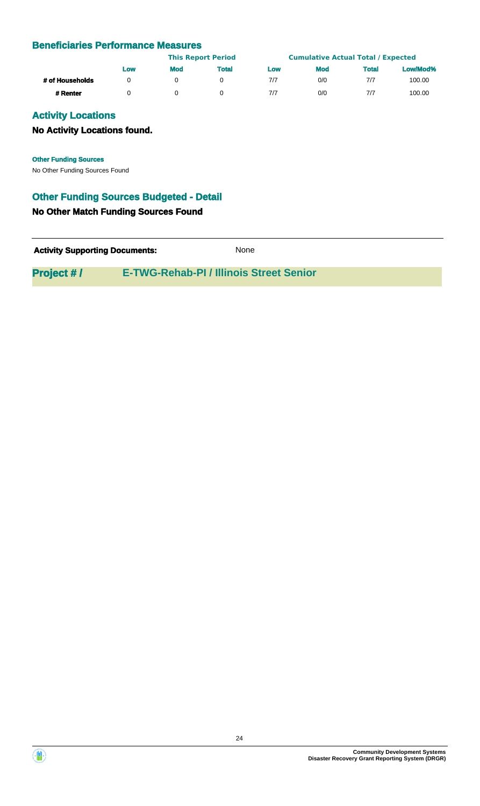|                 | Low | <b>This Report Period</b> |              |     | <b>Cumulative Actual Total / Expected</b> |              |          |
|-----------------|-----|---------------------------|--------------|-----|-------------------------------------------|--------------|----------|
|                 |     | <b>Mod</b>                | <b>Total</b> | Low | <b>Mod</b>                                | <b>Total</b> | Low/Mod% |
| # of Households |     |                           |              | 7/7 | 0/0                                       | 7/7          | 100.00   |
| # Renter        |     |                           |              | 7/7 | 0/0                                       | 7/7          | 100.00   |

## **Activity Locations**

### **No Activity Locations found.**

**Other Funding Sources**

No Other Funding Sources Found

## **Other Funding Sources Budgeted - Detail**

### **No Other Match Funding Sources Found**

**Activity Supporting Documents:** None

**Project # / E-TWG-Rehab-PI / Illinois Street Senior**



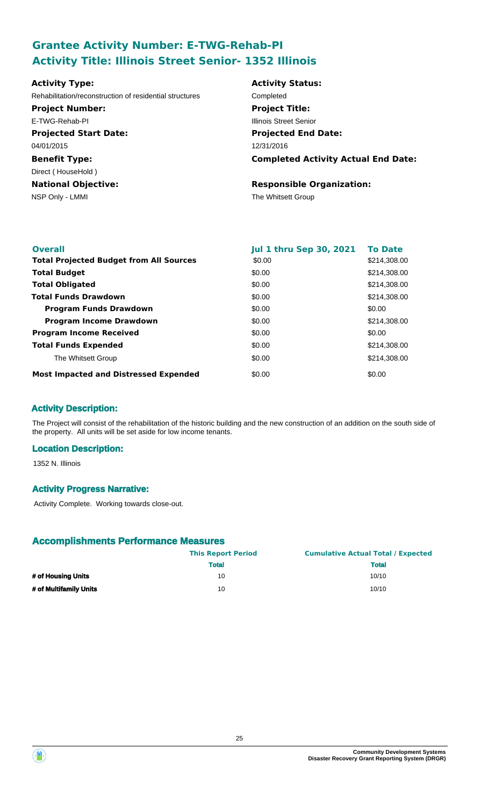# **Grantee Activity Number: E-TWG-Rehab-PI Activity Title: Illinois Street Senior- 1352 Illinois**

| <b>Activity Type:</b>                                   | <b>Activity Status:</b>                    |
|---------------------------------------------------------|--------------------------------------------|
| Rehabilitation/reconstruction of residential structures | Completed                                  |
| <b>Project Number:</b>                                  | <b>Project Title:</b>                      |
| E-TWG-Rehab-PI                                          | <b>Illinois Street Senior</b>              |
| <b>Projected Start Date:</b>                            | <b>Projected End Date:</b>                 |
| 04/01/2015                                              | 12/31/2016                                 |
| <b>Benefit Type:</b>                                    | <b>Completed Activity Actual End Date:</b> |
| Direct (HouseHold)                                      |                                            |
| <b>National Objective:</b>                              | <b>Responsible Organization:</b>           |
| NSP Only - LMMI                                         | The Whitsett Group                         |
|                                                         |                                            |
|                                                         |                                            |

| <b>Overall</b>                                 | <b>Jul 1 thru Sep 30, 2021</b> | <b>To Date</b> |
|------------------------------------------------|--------------------------------|----------------|
| <b>Total Projected Budget from All Sources</b> | \$0.00                         | \$214,308.00   |
| <b>Total Budget</b>                            | \$0.00                         | \$214,308.00   |
| <b>Total Obligated</b>                         | \$0.00                         | \$214,308.00   |
| <b>Total Funds Drawdown</b>                    | \$0.00                         | \$214,308,00   |
| <b>Program Funds Drawdown</b>                  | \$0.00                         | \$0.00         |
| <b>Program Income Drawdown</b>                 | \$0.00                         | \$214,308.00   |
| <b>Program Income Received</b>                 | \$0.00                         | \$0.00         |
| <b>Total Funds Expended</b>                    | \$0.00                         | \$214,308.00   |
| The Whitsett Group                             | \$0.00                         | \$214,308.00   |
| <b>Most Impacted and Distressed Expended</b>   | \$0.00                         | \$0.00         |

## **Activity Description:**

The Project will consist of the rehabilitation of the historic building and the new construction of an addition on the south side of the property. All units will be set aside for low income tenants.

### **Location Description:**

1352 N. Illinois

### **Activity Progress Narrative:**

Activity Complete. Working towards close-out.

|                        | <b>This Report Period</b> | <b>Cumulative Actual Total / Expected</b> |  |  |
|------------------------|---------------------------|-------------------------------------------|--|--|
|                        | <b>Total</b>              | <b>Total</b>                              |  |  |
| # of Housing Units     | 10                        | 10/10                                     |  |  |
| # of Multifamily Units | 10                        | 10/10                                     |  |  |